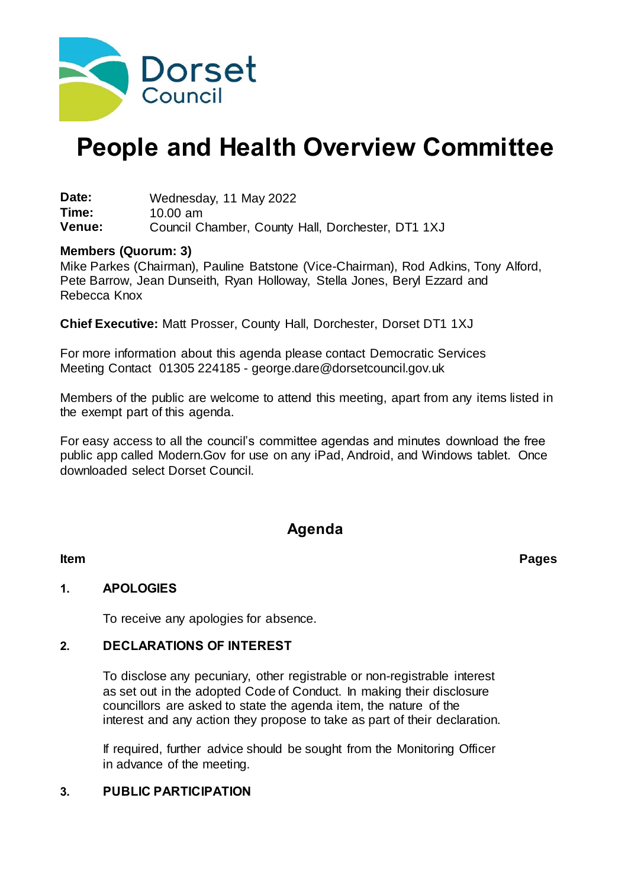

# **People and Health Overview Committee**

**Date:** Wednesday, 11 May 2022<br>**Time:** 10.00 am **Time:** 10.00 am Council Chamber, County Hall, Dorchester, DT1 1XJ

#### **Members (Quorum: 3)**

Mike Parkes (Chairman), Pauline Batstone (Vice-Chairman), Rod Adkins, Tony Alford, Pete Barrow, Jean Dunseith, Ryan Holloway, Stella Jones, Beryl Ezzard and Rebecca Knox

**Chief Executive:** Matt Prosser, County Hall, Dorchester, Dorset DT1 1XJ

For more information about this agenda please contact Democratic Services Meeting Contact 01305 224185 - george.dare@dorsetcouncil.gov.uk

Members of the public are welcome to attend this meeting, apart from any items listed in the exempt part of this agenda.

For easy access to all the council's committee agendas and minutes download the free public app called Modern.Gov for use on any iPad, Android, and Windows tablet. Once downloaded select Dorset Council.

## **Agenda**

**Item Pages**

#### **1. APOLOGIES**

To receive any apologies for absence.

#### **2. DECLARATIONS OF INTEREST**

To disclose any pecuniary, other registrable or non-registrable interest as set out in the adopted Code of Conduct. In making their disclosure councillors are asked to state the agenda item, the nature of the interest and any action they propose to take as part of their declaration.

If required, further advice should be sought from the Monitoring Officer in advance of the meeting.

## **3. PUBLIC PARTICIPATION**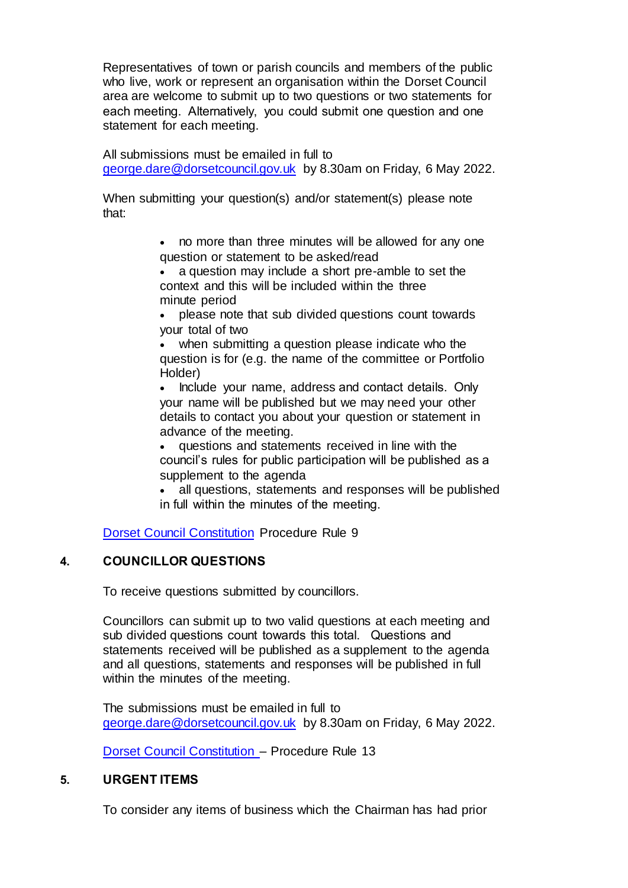Representatives of town or parish councils and members of the public who live, work or represent an organisation within the Dorset Council area are welcome to submit up to two questions or two statements for each meeting.  Alternatively, you could submit one question and one statement for each meeting.

All submissions must be emailed in full to [george.dare@dorsetcouncil.gov.uk](mailto:george.dare@dorsetcouncil.gov.uk) by 8.30am on Friday, 6 May 2022.

When submitting your question(s) and/or statement(s) please note that:

> no more than three minutes will be allowed for any one question or statement to be asked/read

 a question may include a short pre-amble to set the context and this will be included within the three minute period

 please note that sub divided questions count towards your total of two

 when submitting a question please indicate who the question is for (e.g. the name of the committee or Portfolio Holder)

 Include your name, address and contact details.  Only your name will be published but we may need your other details to contact you about your question or statement in advance of the meeting.

 questions and statements received in line with the council's rules for public participation will be published as a supplement to the agenda

 all questions, statements and responses will be published in full within the minutes of the meeting. 

[Dorset Council Constitution](https://moderngov.dorsetcouncil.gov.uk/ieListMeetings.aspx?CId=433&Year=0&info=1&MD=constitution) Procedure Rule 9

## **4. COUNCILLOR QUESTIONS**

To receive questions submitted by councillors.

Councillors can submit up to two valid questions at each meeting and sub divided questions count towards this total.   Questions and statements received will be published as a supplement to the agenda and all questions, statements and responses will be published in full within the minutes of the meeting.

The submissions must be emailed in full to [george.dare@dorsetcouncil.gov.uk](mailto:george.dare@dorsetcouncil.gov.uk) by 8.30am on Friday, 6 May 2022.

[Dorset Council Constitution](https://moderngov.dorsetcouncil.gov.uk/ieListMeetings.aspx?CId=433&Year=0&info=1&MD=constitution) – Procedure Rule 13

## **5. URGENT ITEMS**

To consider any items of business which the Chairman has had prior